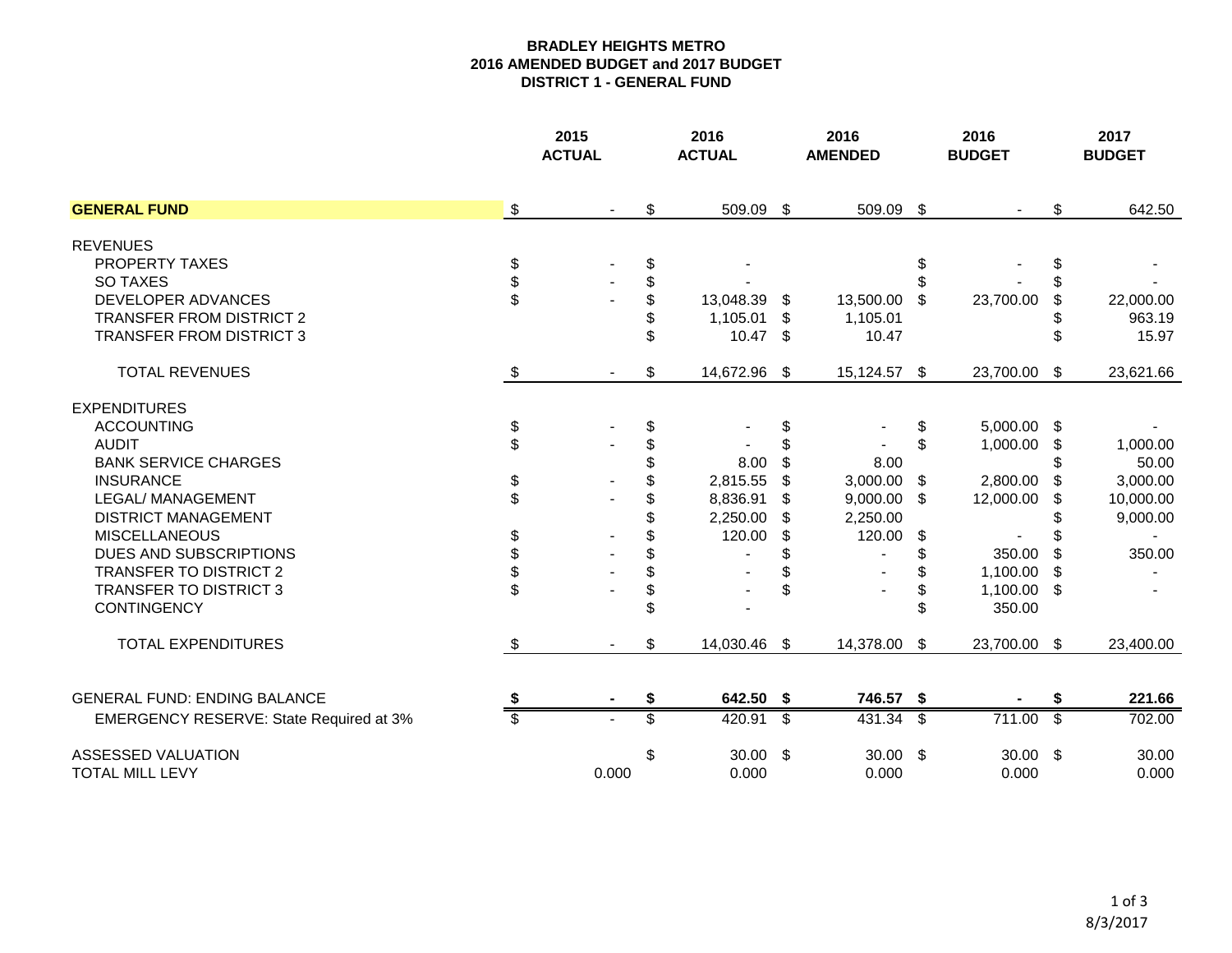## **BRADLEY HEIGHTS METRO 2016 AMENDED BUDGET and 2017 BUDGET DISTRICT 1 - GENERAL FUND**

|                                              |                            | 2015<br><b>ACTUAL</b> | 2016<br><b>ACTUAL</b>     |                          | 2016<br><b>AMENDED</b> |                          | 2016<br><b>BUDGET</b> |                          | 2017<br><b>BUDGET</b> |
|----------------------------------------------|----------------------------|-----------------------|---------------------------|--------------------------|------------------------|--------------------------|-----------------------|--------------------------|-----------------------|
| <b>GENERAL FUND</b>                          | $\sqrt{3}$                 | $\blacksquare$        | \$<br>509.09 \$           |                          | 509.09                 | $\sqrt[6]{3}$            |                       | \$                       | 642.50                |
| <b>REVENUES</b>                              |                            |                       |                           |                          |                        |                          |                       |                          |                       |
| PROPERTY TAXES                               | \$                         |                       | \$                        |                          |                        | \$                       |                       | S                        |                       |
| <b>SO TAXES</b>                              | \$                         |                       | \$                        |                          |                        |                          |                       |                          |                       |
| <b>DEVELOPER ADVANCES</b>                    | \$                         |                       | \$<br>13,048.39           | - \$                     | 13,500.00              | \$                       | 23,700.00             |                          | 22,000.00             |
| <b>TRANSFER FROM DISTRICT 2</b>              |                            |                       | \$<br>1,105.01            | - \$                     | 1,105.01               |                          |                       |                          | 963.19                |
| <b>TRANSFER FROM DISTRICT 3</b>              |                            |                       | \$<br>$10.47$ \$          |                          | 10.47                  |                          |                       |                          | 15.97                 |
| <b>TOTAL REVENUES</b>                        | \$                         |                       | \$<br>14,672.96 \$        |                          | 15,124.57 \$           |                          | 23,700.00 \$          |                          | 23,621.66             |
| <b>EXPENDITURES</b>                          |                            |                       |                           |                          |                        |                          |                       |                          |                       |
| <b>ACCOUNTING</b>                            | \$                         |                       | \$                        | \$                       |                        | \$                       | 5,000.00 \$           |                          |                       |
| <b>AUDIT</b>                                 | \$                         |                       | \$                        | \$                       |                        | \$                       | 1,000.00              | S                        | 1,000.00              |
| <b>BANK SERVICE CHARGES</b>                  |                            |                       | \$<br>8.00                | \$                       | 8.00                   |                          |                       |                          | 50.00                 |
| <b>INSURANCE</b>                             | \$                         |                       | \$<br>2,815.55            | \$                       | 3,000.00               | \$                       | 2,800.00              |                          | 3,000.00              |
| LEGAL/ MANAGEMENT                            | \$                         |                       | \$<br>8,836.91            | S                        | 9,000.00               | \$                       | 12,000.00             |                          | 10,000.00             |
| <b>DISTRICT MANAGEMENT</b>                   |                            |                       | \$<br>2,250.00            | S                        | 2,250.00               |                          |                       |                          | 9,000.00              |
| <b>MISCELLANEOUS</b>                         | \$                         |                       | \$<br>120.00              | \$                       | 120.00                 | \$                       |                       |                          |                       |
| DUES AND SUBSCRIPTIONS                       | \$                         |                       | \$                        |                          |                        |                          | 350.00                |                          | 350.00                |
| <b>TRANSFER TO DISTRICT 2</b>                | \$                         |                       | \$                        |                          |                        |                          | 1,100.00              | -S                       |                       |
| <b>TRANSFER TO DISTRICT 3</b>                | \$                         |                       | \$                        | \$                       |                        |                          | 1,100.00 \$           |                          |                       |
| <b>CONTINGENCY</b>                           |                            |                       | \$                        |                          |                        |                          | 350.00                |                          |                       |
| <b>TOTAL EXPENDITURES</b>                    | $\boldsymbol{\mathsf{\$}}$ |                       | \$<br>14,030.46 \$        |                          | 14,378.00              | \$                       | 23,700.00 \$          |                          | 23,400.00             |
| <b>GENERAL FUND: ENDING BALANCE</b>          |                            |                       | 642.50 \$                 |                          | 746.57 \$              |                          |                       | S                        | 221.66                |
| EMERGENCY RESERVE: State Required at 3%      |                            |                       | 420.91                    | $\overline{\mathcal{S}}$ | 431.34                 | $\overline{\mathcal{S}}$ | 711.00                | $\overline{\mathcal{S}}$ | 702.00                |
| ASSESSED VALUATION<br><b>TOTAL MILL LEVY</b> |                            | 0.000                 | \$<br>$30.00$ \$<br>0.000 |                          | $30.00$ \$<br>0.000    |                          | $30.00$ \$<br>0.000   |                          | 30.00<br>0.000        |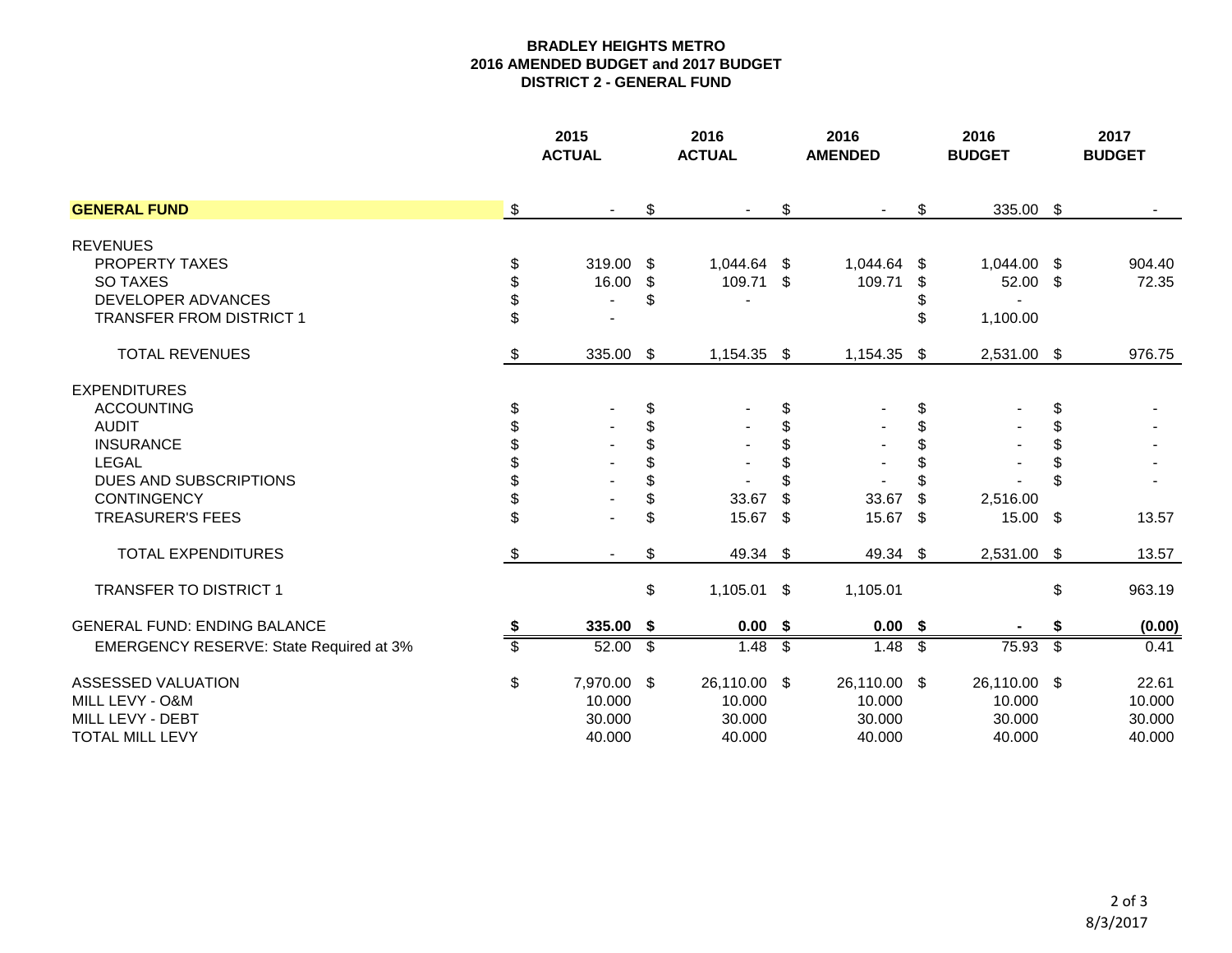## **BRADLEY HEIGHTS METRO 2016 AMENDED BUDGET and 2017 BUDGET DISTRICT 2 - GENERAL FUND**

|                                         |    | 2015<br><b>ACTUAL</b> |    | 2016<br><b>ACTUAL</b> |                          | 2016<br><b>AMENDED</b> |                           | 2016<br><b>BUDGET</b> |    | 2017<br><b>BUDGET</b> |
|-----------------------------------------|----|-----------------------|----|-----------------------|--------------------------|------------------------|---------------------------|-----------------------|----|-----------------------|
| <b>GENERAL FUND</b>                     | \$ | $\blacksquare$        | \$ |                       | \$                       |                        | \$                        | 335.00 \$             |    |                       |
| <b>REVENUES</b>                         |    |                       |    |                       |                          |                        |                           |                       |    |                       |
| PROPERTY TAXES                          | \$ | 319.00                | \$ | 1,044.64 \$           |                          | 1,044.64               | \$                        | 1,044.00 \$           |    | 904.40                |
| <b>SO TAXES</b>                         | \$ | 16.00                 | \$ | 109.71 \$             |                          | 109.71                 | \$                        | 52.00 \$              |    | 72.35                 |
| DEVELOPER ADVANCES                      | \$ | $\blacksquare$        | \$ |                       |                          |                        |                           |                       |    |                       |
| <b>TRANSFER FROM DISTRICT 1</b>         | \$ |                       |    |                       |                          |                        | \$                        | 1,100.00              |    |                       |
| <b>TOTAL REVENUES</b>                   | \$ | 335.00                | \$ | 1,154.35 \$           |                          | 1,154.35               | \$                        | 2,531.00 \$           |    | 976.75                |
| <b>EXPENDITURES</b>                     |    |                       |    |                       |                          |                        |                           |                       |    |                       |
| <b>ACCOUNTING</b>                       | \$ |                       | \$ |                       | \$                       |                        | \$                        |                       | \$ |                       |
| <b>AUDIT</b>                            | \$ |                       | \$ |                       | \$                       |                        | \$                        |                       | \$ |                       |
| <b>INSURANCE</b>                        | \$ |                       | \$ |                       | \$                       |                        | \$                        |                       |    |                       |
| <b>LEGAL</b>                            |    |                       | \$ |                       | \$                       |                        | \$                        |                       |    |                       |
| DUES AND SUBSCRIPTIONS                  | \$ |                       | \$ |                       |                          |                        | \$                        |                       |    |                       |
| <b>CONTINGENCY</b>                      | \$ |                       | \$ | 33.67                 | \$                       | 33.67                  | \$                        | 2,516.00              |    |                       |
| <b>TREASURER'S FEES</b>                 | \$ |                       | \$ | 15.67 \$              |                          | 15.67 \$               |                           | $15.00$ \$            |    | 13.57                 |
| <b>TOTAL EXPENDITURES</b>               | \$ |                       | \$ | 49.34 \$              |                          | 49.34 \$               |                           | 2,531.00              | \$ | 13.57                 |
| <b>TRANSFER TO DISTRICT 1</b>           |    |                       | \$ | $1,105.01$ \$         |                          | 1,105.01               |                           |                       | \$ | 963.19                |
| <b>GENERAL FUND: ENDING BALANCE</b>     | S  | 335.00                | \$ | $0.00$ \$             |                          | $0.00$ \$              |                           |                       | \$ | (0.00)                |
| EMERGENCY RESERVE: State Required at 3% | \$ | 52.00                 | s) | 1.48                  | $\overline{\mathcal{S}}$ | 1.48                   | $\overline{\mathfrak{s}}$ | 75.93                 | s) | 0.41                  |
| ASSESSED VALUATION                      | \$ | 7,970.00 \$           |    | 26,110.00 \$          |                          | 26,110.00 \$           |                           | 26,110.00 \$          |    | 22.61                 |
| MILL LEVY - O&M                         |    | 10.000                |    | 10.000                |                          | 10.000                 |                           | 10.000                |    | 10.000                |
| MILL LEVY - DEBT                        |    | 30.000                |    | 30.000                |                          | 30.000                 |                           | 30.000                |    | 30.000                |
| <b>TOTAL MILL LEVY</b>                  |    | 40.000                |    | 40.000                |                          | 40.000                 |                           | 40.000                |    | 40.000                |